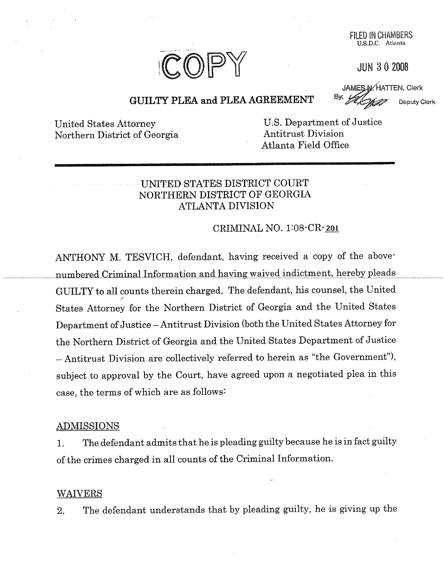

FILED IN CHANIBERS U.S.D.C, Atlanta

**JUN 3 0 ZOO8**

**JAMES N/HATTEN, Clerk** Deputy Clerk

# GUILTY PLEA and PLEA AGREEMENT

United States Attorney Northern District of Georgia

U.S. Department of Justice Antitrust Division Atlanta Field Office

# UNITED STATES DISTRICT COURT NORTHERN DISTRICT OF GEORGIA ATLANTA DIVISION

### CRIMINAL NO. 1:08-CR-201

ANTHONY M. TESVICH, defendant, having received a copy of the above numbered Criminal Information and having waived indictment, hereby pleads GUILTY to all counts therein charged. The defendant, his counsel, the United States Attorney for the Northern District of Georgia and the United States Department of Justice - Antitrust Division (both the United States Attorney for the Northern District of Georgia and the United States Department of Justice **-** Antitrust Division are collectively referred to herein as "the Government"), subject to approval by the Court, have agreed upon a negotiated plea in this case, the terms of which are as follows:

#### ADMISSIONS

1. The defendant admits that he is pleading guilty because he is in fact guilty of the crimes charged in all counts of the Criminal Information.

#### **WAIVERS**

2. The defendant understands that by pleading guilty, he is giving up the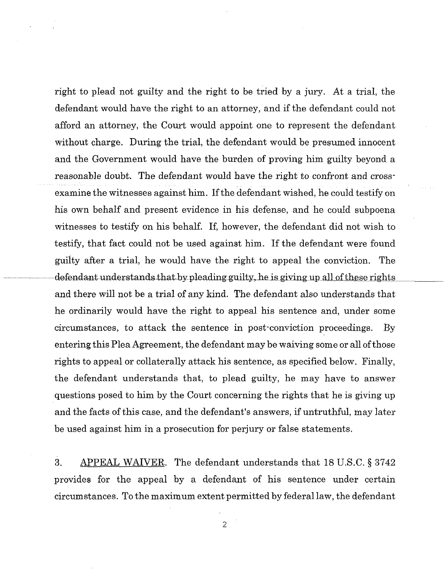right to plead not guilty and the right to be tried by a jury. At a trial, the defendant would have the right to an attorney, and if the defendant could not afford an attorney, the Court would appoint one to represent the defendant without charge. During the trial, the defendant would be presumed innocent and the Government would have the burden of proving him guilty beyond a reasonable doubt. The defendant would have the right to confront and crossexamine the witnesses against him. If the defendant wished, he could testify on his own behalf and present evidence in his defense, and he could subpoena witnesses to testify on his behalf. If, however, the defendant did not wish to testify, that fact could not be used against him. If the defendant were found guilty after a trial, he would have the right to appeal the conviction. The  $\Delta$  defendant understands that by pleading guilty, he is giving up all of these rights and there will not be a trial of any kind. The defendant also understands that he ordinarily would have the right to appeal his sentence and, under some circumstances, to attack the sentence in post-conviction proceedings. By entering this Plea Agreement, the defendant may be waiving some or all of those rights to appeal or collaterally attack his sentence, as specified below. Finally, the defendant understands that, to plead guilty, he may have to answer questions posed to him by the Court concerning the rights that he is giving up and the facts of this case, and the defendant's answers, if untruthful, may later be used against him in a prosecution for perjury or false statements.

3. APPEAL WAIVER. The defendant understands that 18 U.S.C. § 3742 provides for the appeal by a defendant of his sentence under certain circumstances. To the maximum extent permitted by federal law, the defendant

2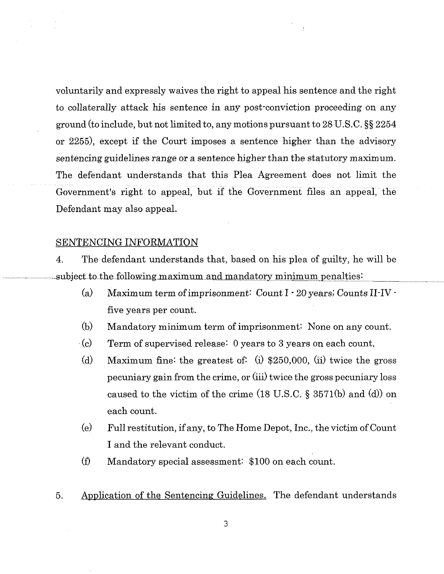voluntarily and expressly waives the right to appeal his sentence and the right to collaterally attack his sentence in any post-conviction proceeding on any ground (to include, but not limited to, any motions pursuant to 28 U.S.C. §§ 2254 or 2255), except if the Court imposes a sentence higher than the advisory sentencing guidelines range or a sentence higher than the statutory maximum. The defendant understands that this Plea Agreement does not limit the Government's right to appeal, but if the Government files an appeal, the Defendant may also appeal.

#### SENTENCING INFORMATION

4. The defendant understands that, based on his plea of guilty, he will be subject to the following maximum and mandatory minimum penalties:

- (a) Maximum term of imprisonment: Count I *20* years; Counts II-IVfive years per count.
- (b) Mandatory minimum term of imprisonment: None on any count.
- (c) Term of supervised release: 0 years to 3 years on each count.
- (d) Maximum fine: the greatest of: (i)  $$250,000$ , (ii) twice the gross pecuniary gain from the crime, or (iii) twice the gross pecuniary loss caused to the victim of the crime (18 U.S.C. § 3571(b) and (d)) on each count.
- (e) Ful! restitution, if any, to The Home Depot, Inc., the victim of Count I and the relevant conduct.
- (f) Mandatory special assessment: \$100 on each count.
- 5. Application of the Sentencing Guidelines. The defendant understands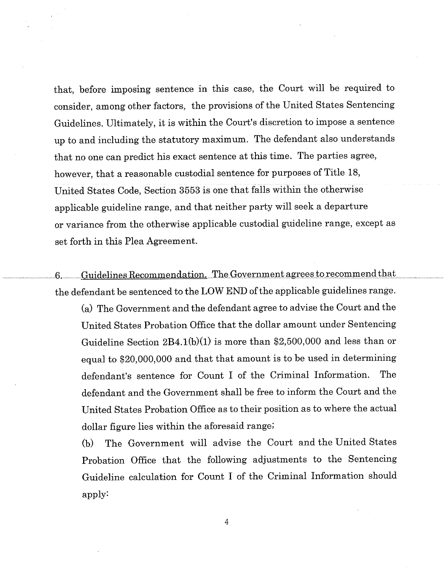that, before imposing sentence in this case, the Court will be required to consider, among other factors, the provisions of the United States Sentencing Guidelines. Ultimately, it is within the Court's discretion to impose a sentence up to and including the statutory maximum. The defendant also understands that no one can predict his exact sentence at this time. The parties agree, however, that a reasonable custodial sentence for purposes of Title 18, united States Code, Section 3553 is one that falls within the otherwise applicable guideline range, and that neither party will seek a departure or variance from the otherwise applicable custodial guideline range, except as set forth in this Plea Agreement.

........................ 6 ........... Guidelines Recommendation *\_Th~v~ernme~agre~e~s\_~o\_r~omm\_er~d.th~at .......................* the defendant be sentenced to the LOW END of the applicable guidelines range.

(a) The Government and the defendant agree to advise the Court and the United States Probation Office that the dollar amount under Sentencing Guideline Section 2B4.1(b)(1) is more than \$2,500,000 and less than or equal to \$20,000,000 and that that amount is to be used in determining defendant's sentence for Count I of the Criminal Information. The defendant and the Government shall be free to inform the Court and the United States Probation Office as to their position as to where the actual dollar figure lies within the aforesaid range;

(b) The Government will advise the Court and the United States Probation Office that the following adjustments to the Sentencing Guideline calculation for Count I of the Criminal Information should apply:

4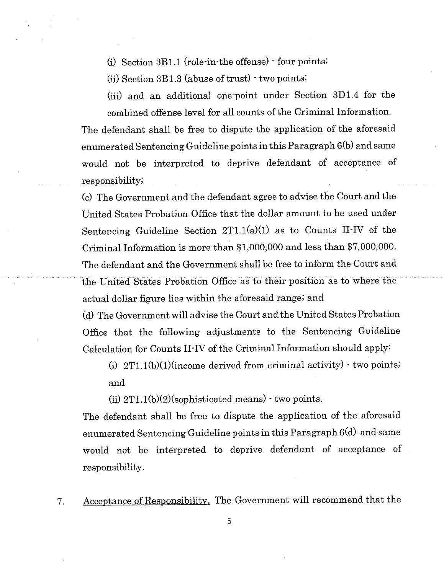(i) Section 3B1.1 (role-in-the offense) " four points;

(ii) Section 3B1.3 (abuse of trust) - two points;

(iii) and an additional one-point under Section 3D1.4 for the combined offense level for all counts of the Criminal Information.

The defendant shall be free to dispute the application of the aforesaid enumerated Sentencing Guideline points in this Paragraph 6(b) and same would not be interpreted to deprive defendant of acceptance of responsibility;

(c) The Government and the defendant agree to advise the Court and the United States Probation Office that the dollar amount to be used under Sentencing Guideline Section  $2T1.1(a)(1)$  as to Counts II-IV of the Criminal Information is more than  $$1,000,000$  and less than  $$7,000,000$ . The defendant and the Government shall be free to inform the Court and the United States Probation Office as to their position as to where the actual dollar figure lies within the aforesaid range; and

(d) The Government will advise the Court and the United States Probation Office that the following adjustments to the Sentencing Guideline Calculation for Counts II-IV of the Criminal Information should apply:

(i)  $2T1.1(b)(1)(income derived from criminal activity) - two points;$ and

(ii)  $2T1.1(b)(2)(\text{sophisticated means}) \cdot \text{two points}.$ 

The defendant shall be free to dispute the application of the aforesaid enumerated Sentencing Guideline points in this Paragraph 6(d) and same would not be interpreted to deprive defendant of acceptance of responsibility.

7. Acceptance of Responsibility. The Government will recommend that the

5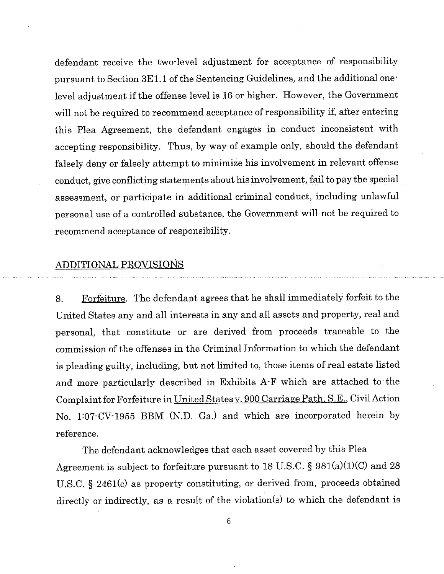defendant receive the two-level adjustment for acceptance of responsibility pursuant to Section 3E1.1 of the Sentencing Guidelines, and the additional onelevel adjustment if the offense level is 16 or higher. However, the Government will not be required to recommend acceptance of responsibility if, after entering this Plea Agreement, the defendant engages in conduct inconsistent with accepting responsibility. Thus, by way of example only, should the defendant falsely deny or falsely attempt to minimize his involvement in relevant offense conduct, give conflicting statements about his involvement, fai! to pay the special assessment, or participate in additional criminal conduct, including unlawful personal use of a controlled substance, the Government will not be required to recommend acceptance of responsibility.

#### **ADDITIONAL PROVISIONS**

8. Forfeiture. The defendant agrees that he shall immediately forfeit to the United States any and all interests in any and all assets and property, real and persona!, that constitute or are derived from proceeds traceable to the commission of the offenses in the Criminal Information to which the defendant is pleading guilty, including, but not limited to, those items of real estate listed and more particularly described in Exhibits A-F which are attached to the Complaint for Forfeiture in United States v. 900 Carriage Path, S.E., Civil Action No. 1:07-CV-1955 BBM (N.D. Ga.) and which are incorporated herein by reference.

The defendant acknowledges that each asset covered by this Plea Agreement is subject to forfeiture pursuant to 18 U.S.C. §  $981(a)(1)(C)$  and 28 U.S.C. § 2461(c) as property constituting, or derived from, proceeds obtained directly or indirectly, as a result of the violation(s) to which the defendant is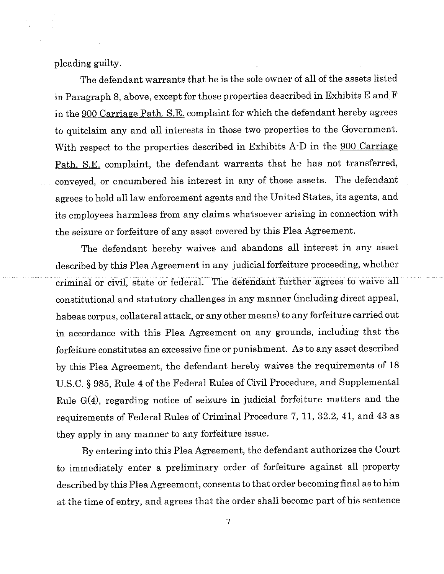pleading guilty.

The defendant warrants that he is the sole owner of all of the assets listed in Paragraph 8, above, except for those properties described in Exhibits E and F in the 900 Carriage Path, S.E. complaint for which the defendant hereby agrees to quitclaim any and all interests in those two properties to the Government. With respect to the properties described in Exhibits A-D in the 900 Carriage Path, S.E. complaint, the defendant warrants that he has not transferred, conveyed, or encumbered his interest in any of those assets. The defendant agrees to hold all law enforcement agents and the United States, its agents, and its employees harmless from any claims whatsoever arising in connection with the seizure or forfeiture of any asset covered by this Plea Agreement.

The defendant hereby waives and abandons all interest in any asset described by this Plea Agreement in any judicial forfeiture proceeding, whether criminal or civil, state or federal. The defendant further agrees to waive all constitutional and statutory challenges in any manner (including direct appeal, habeas corpus, collateral attack, or any other means) to any forfeiture carried out in accordance with this Plea Agreement on any grounds, including that the forfeiture constitutes an excessive fine or punishment. As to any asset described by this Plea Agreement, the defendant hereby waives the requirements of 18 U.S.C. § 985, Rule 4 of the Federal Rules of Civil Procedure, and Supplemental Rule G(4), regarding notice of seizure in judicial forfeiture matters and the requirements of Federal Rules of Criminal Procedure 7, 11, 32.2, 41, and 43 as they apply in any manner to any forfeiture issue.

By entering into this Plea Agreement, the defendant authorizes the Court to immediately enter a preliminary order of forfeiture against all property described by this Plea Agreement, consents to that order becoming final as to him at the time of entry, and agrees that the order shall become part of his sentence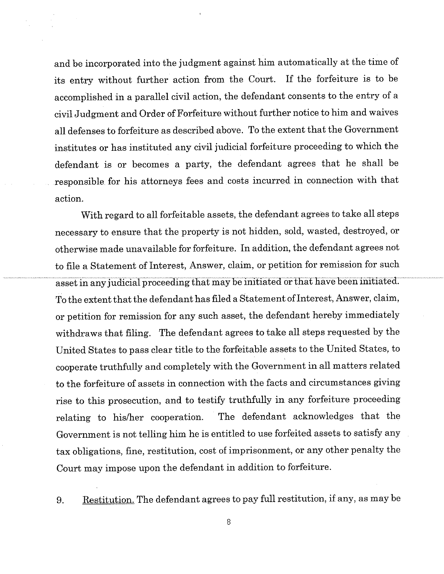and be incorporated into the judgment against him automatically at the time of its entry without further action from the Court. If the forfeiture is to be accomplished in a parallel civil action, the defendant consents to the entry of a civil Judgment and Order of Forfeiture without further notice to him and waives all defenses to forfeiture as described above. To the extent that the Government institutes or has instituted any civil judicial forfeiture proceeding to which the defendant is or becomes a party, the defendant agrees that he shall be responsible for his attorneys fees and costs incurred in connection with that action.

With regard to all forfeitable assets, the defendant agrees to take all steps necessary to ensure that the property is not hidden, sold, wasted, destroyed, or otherwise made unavailable for forfeiture. In addition, the defendant agrees not to file a Statement of Interest, Answer, claim, or petition for remission for such asset in any judicial proceeding that may be initiated or that have been initiated. To the extent that the defendant has filed a Statement of Interest, Answer, claim, or petition for remission for any such asset, the defendant hereby immediately withdraws that filing. The defendant agrees to take all steps requested by the United States to pass clear title to the forfeitable assets to the United States, to cooperate truthfully and completely with the Government in all matters related to the forfeiture of assets in connection with the facts and circumstances giving rise to this prosecution, and to testify truthfully in any forfeiture proceeding relating to his/her cooperation. The defendant acknowledges that the Government is not telling him he is entitled to use forfeited assets to satisfy any tax obligations, fine, restitution, cost of imprisonment, or any other penalty the Court may impose upon the defendant in addition to forfeiture.

9. Restitution. The defendant agrees to pay full restitution, if any, as may be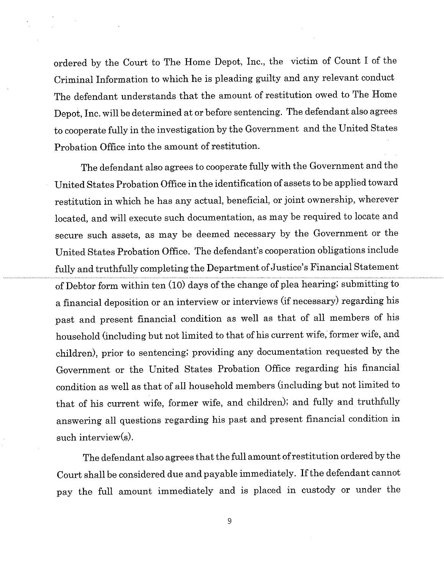ordered by the Court to The Home Depot, Inc., the victim of Count I of the Criminal Information to which he is pleading guilty and any relevant conduct The defendant understands that the amount of restitution owed to The Home Depot, Inc. will be determined at or before sentencing. The defendant also agrees to cooperate fully in the investigation by the Government and the United States Probation Office into the amount of restitution.

The defendant also agrees to cooperate fully with the Government and the United States Probation Office in the identification of assets to be applied toward restitution in which he has any actual, beneficial, or joint ownership, wherever located, and will execute such documentation, as may be required to locate and secure such assets, as may be deemed necessary by the Government or the United States Probation Office. The defendant's cooperation obligations include fully and truthfully completing the Department of Justice's Financial Statement of Debtor form within ten (10) days of the change of plea hearing; submitting to a financial deposition or an interview or interviews (if necessary) regarding his past and present financial condition as well as that of all members of his household (including but not limited to that of his current wife, former wife, and children), prior to sentencing; providing any documentation requested by the Government or the United States Probation Office regarding his financial condition as well as that of all household members (including but not limited to that of his current wife, former wife, and children); and fuily and truthfully answering all questions regarding his past and present financial condition in such interview(s).

The defendant also agrees that the full amount of restitution ordered by the Court shall be considered due and payable immediately. If the defendant cannot pay the full amount immediately and is placed in custody or under the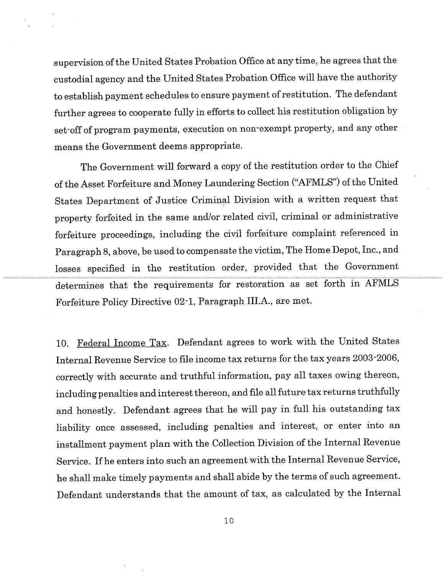supervision of the United States Probation Office at any time, he agrees that the custodial agency and the United States Probation Office will have the authority to establish payment schedules to ensure payment of restitution. The defendant further agrees to cooperate fully in efforts to collect his restitution obligation by set-off of program payments, execution on non-exempt property, and any other means the Government deems appropriate.

The Government will forward a copy of the restitution order to the Chief of the Asset Forfeiture and Money Laundering Section ("AFMLS") of the United States Department of Justice Criminal Division with a written request that property forfeited in the same and/or related civil, criminal or administrative forfeiture proceedings, including the civil forfeiture complaint referenced in Paragraph 8, above, be used to compensate the victim, The Home Depot, Inc., and losses specified in the restitution order, provided that the Government determines that the requirements for restoration as set forth in AFMLS Forfeiture Policy Directive 02-1, Paragraph III.A., are met.

10. Federal Income Tax. Defendant agrees to work with the United States Internal Revenue Service to file income tax returns for the tax years 2003-2006, correctly with accurate and truthful information, pay all taxes owing thereon, including penalties and interest thereon, and file all future tax returns truthfully and honestly. Defendant agrees that he will pay in full his outstanding tax liability once assessed, including penalties and interest, or enter into an installment payment plan with the Collection Division of the Internal Revenue Service. If he enters into such an agreement with the Internal Revenue Service, he shall make timely payments and shall abide by the terms of such agreement. Defendant understands that the amount of tax, as calculated by the Internal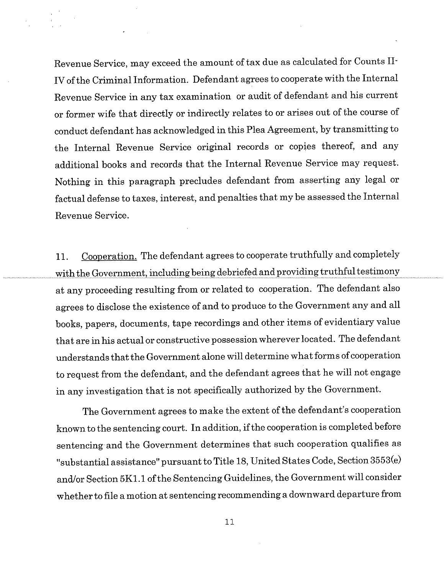Revenue Service, may exceed the amount of tax due as calculated for Counts II-IV of the Criminal Information. Defendant agrees to cooperate with the Internal Revenue Service in any tax examination or audit of defendant and his current or former wife that directly or indirectly relates to or arises out of the course of conduct defendant has acknowledged in this Plea Agreement, by transmitting to the Internal Revenue Service original records or copies thereof, and any additional books and records that the Internal Revenue Service may request. Nothing in this paragraph precludes defendant from asserting any legal or factual defense to taxes, interest, and penalties that my be assessed the Internal Revenue Service.

11. Cooperation. The defendant agrees to cooperate truthfully and completely with the Government, including being debriefed and providing truthful testimony at any proceeding resulting from or related to cooperation. The defendant also agrees to disclose the existence of and to produce to the Government any and all books, papers, documents, tape recordings and other items of evidentiary value that are in his actual or constructive possession wherever located. The defendant understands that the Government alone will determine what forms of cooperation to request from the defendant, and the defendant agrees that he will not engage in any investigation that is not specifically authorized by the Government.

The Government agrees to make the extent of the defendant's cooperation known to the sentencing court. In addition, if the cooperation is completed before sentencing and the Government determines that such cooperation qualifies as "substantial assistance" pursuant to Title 18, United States Code, Section 3553(e) and/or Section 5K1.1 of the Sentencing Guidelines, the Government will consider whether to file a motion at sentencing recommending a downward departure from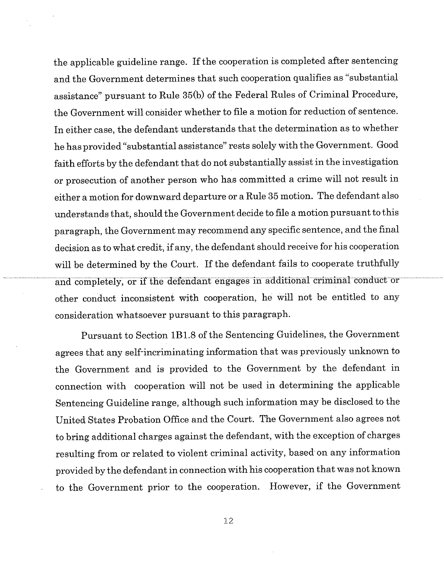the applicable guideline range. If the cooperation is completed after sentencing and the Government determines that such cooperation qualifies as "substantial assistance" pursuant to Rule 35(b) of the Federal Rules of Criminal Procedure, the Government will consider whether to file a motion for reduction of sentence. In either case, the defendant understands that the determination as to whether he has provided "substantial assistance" rests solely with the Government. Good faith efforts by the defendant that do not substantially assist in the investigation or prosecution of another person who has committed a crime will not result in either a motion for downward departure or a Rule 35 motion. The defendant also understands that, should the Government decide to file a motion pursuant to this paragraph, the Government may recommend any specific sentence, and the final decision as to what credit, if any, the defendant should receive for his cooperation will be determined by the Court. If the defendant fails to cooperate truthfully .................................. ~id C~n~iJIe~eI~ b~ ~f~h~ defehdaiit e~e~ i~~di~iohal Cr~im~nal ~ond~t-or other conduct inconsistent with cooperation, he will not be entitled to any consideration whatsoever pursuant to this paragraph.

Pursuant to Section 1B1.8 of the Sentencing Guidelines, the Government agrees that any self-incriminating information that was previously unknown to the Government and is provided to the Government by the defendant in connection with cooperation will not be used in determining the applicable Sentencing Guideline range, although such information may be disclosed to the United States Probation Office and the Court. The Government also agrees not to bring additional charges against the defendant, with the exception of charges resulting from or related to violent criminal activity, based on any information provided by the defendant in connection with his cooperation that was not known to the Government prior to the cooperation. However, if the Government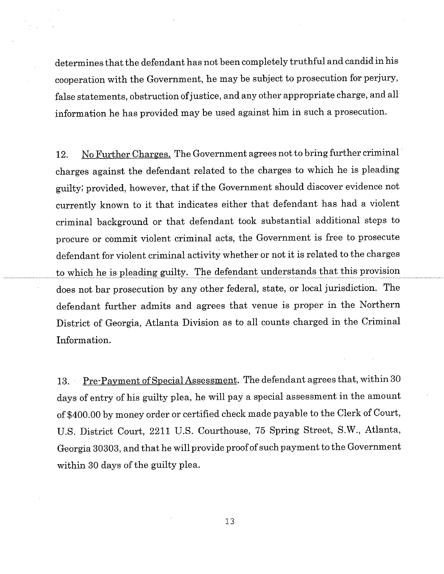determines that the defendant has not been completely truthful and candid in his cooperation with the Government, he may be subject to prosecution for perjury, false statements, obstruction of justice, and any other appropriate charge, and all information he has provided may be used against him in such a prosecution.

12. No Further Charges. The Government agrees not to bring further criminal charges against the defendant related to the charges to which he is pleading guilty; provided, however, that if the Government should discover evidence not currently known to it that indicates either that defendant has had a violent criminal background or that defendant took substantial additional steps to procure or commit violent criminal acts, the Government is free to prosecute defendant for violent criminal activity whether or not it is related to the charges to which he is pleading guilty. The defendant understands that this provision does not bar prosecution by any other federal, state, or local jurisdiction. The defendant further admits and agrees that venue is proper in the Northern District of Georgia, Atlanta Division as to all counts charged in the Criminal Information.

13. Pre-Payment of SpecialAssessment. The defendant agrees that, within 30 days of entry of his guilty plea, he will pay a special assessment in the amount of \$400.00 by money order or certified check made payable to the Clerk of Court, U.S. District Court, 2211 U.S. Courthouse, 75 Spring Street, S.W., Atlanta, Georgia 30303, and that he will provide proof of such payment to the Government within 30 days of the guilty plea.

 $13$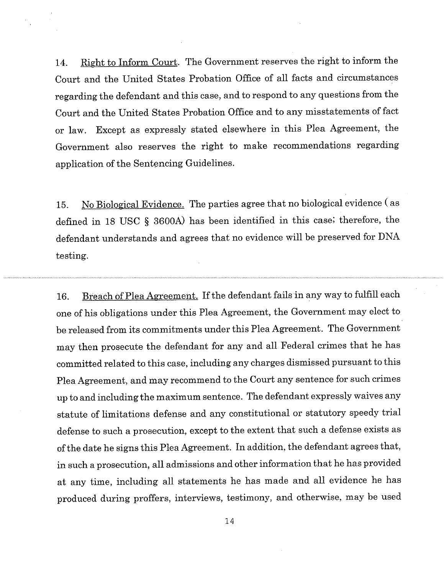14. Right to Inform Court. The Government reserves the right to inform the Court and the United States Probation Office of all facts and circumstances regarding the defendant and this case, and to respond to any questions from the Court and the United States Probation Office and to any misstatements of fact or law. Except as expressly stated elsewhere in this Plea Agreement, the Government also reserves the right to make recommendations regarding application of the Sentencing Guidelines.

15. No Biological Evidence. The parties agree that no biological evidence ( as defined in 18 USC § 3600A) has been identified in this case; therefore, the defendant understands and agrees that no evidence will be preserved for DNA testing.

16. Breach of Plea Agreement. If the defendant fails in any way to fulfill each one of his obligations under this Plea Agreement, the Government may elect to be released from its commitments under this Plea Agreement. The Government may then prosecute the defendant for any and all Federal crimes that he has committed related to this case, including any charges dismissed pursuant to this Plea Agreement, and may recommend to the Court any sentence for such crimes up to and including the maximum sentence. The defendant expressly waives any statute of limitations defense and any constitutional or statutory speedy trial defense to such a prosecution, except to the extent that such a defense exists as of the date he signs this Plea Agreement. In addition, the defendant agrees that, in such a prosecution, all admissions and other information that he has provided at any time, including all statements he has made and all evidence he has produced during proffers, interviews, testimony, and otherwise, may be used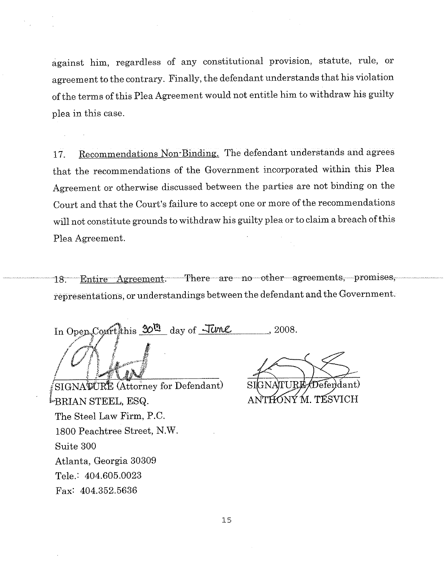against him, regardless of any constitutional provision, statute, rule, or agreement to the contrary. Finally, the defendant understands that his violation of the terms of this Plea Agreement would not entitle him to withdraw his guilty plea in this case.

17. Recommendations Non-Binding. The defendant understands and agrees that the recommendations of the Government incorporated within this Plea Agreement or otherwise discussed between the parties are not binding on the Court and that the Court's failure to accept one or more of the recommendations will not constitute grounds to withdraw his guilty plea or to claim a breach of this Plea Agreement.

18. Entire Agreement. There are no other agreements, promises, representations, or understandings between the defendant and the Government.

In Open Court this 30<sup>m</sup> day of *June* **,2008.**

SIGNATURE (Attorney for Defendant) <sup>[</sup>eBRIAN STEEL, ESQ. The Steel Law Firm, P.C. 1800 Peachtree Street, N.W. Suite 300 Atlanta, Georgia 30309 Tele.: 404.605,0023 Fax: 404.352.5636

Defendant) THƠNÝ M. TESVICH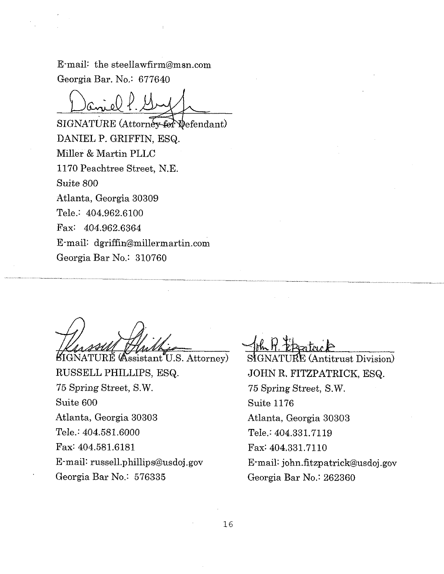E-mail: the steellawfirm@msn.com Georgia Bar. No.: 677640

SIGNATURE (Attorney for Wefendant) DANIEL P. GRIFFIN, ESQ. Miller & Martin PLLC 1170 Peachtree Street, N.E. Suite 800 Atlanta, Georgia 30309 Tele.: 404.962.6100 Fax: 404.962.6364 E-mail: dgriffin@millermartin.com Georgia Bar No.: 310760

**BIGNATURE** (Assistant U.S. Attorney) RUSSELL PHILLIPS, ESQ. 75 Spring Street, S.W. Suite 600 Atlanta, Georgia 30303 Tele.: 404.581.6000 Fax: 404.581.6181 E-mail: russell.phillip s@usdoj, gov Georgia Bar No.: 576335

 $\rm{UKE}$  (Antitrust Division) JOHN R. FITZPATRICK, ESQ. 75 Spring Street, S.W. Suite 1176 Atlanta, Georgia 30303 Tele.: 404.331.7119 Fax: 404.331.7110 E-mail: john.fitzpatrick@usdoj.gov Georgia Bar No.: 262360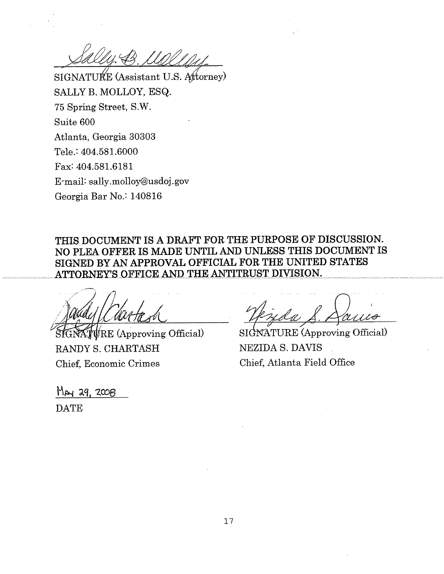SIGNATURE (Assistant U.S. Attorney) SALLY B. MOLLOY, ESQ. 75 Spring Street, S.W. Suite 600 Atlanta, Georgia 30303 Tele.: 404.581.6000 Fax: 404.581.6181 E-mail: sally.molloy@usdoj.gov Georgia Bar No.: 140816

**THIS DOCUMENT IS A DRAFT FOR THE PURPOSE OF DISCUSSION.** NO PLEA OFFER IS MADE UNTIL AND UNLESS THIS DOCUMENT IS **SIGNED BY AN APPROVAL OFFICIAL FOR THE UNITED STATES** ATTORNEY'S OFFICE AND THE ANTITRUST DIVISION.

 $\sqrt{\text{RE}}$  (Approving Official) RANDY S. CHARTASH Chief, Economic Crimes

 $May 29, 2008$ **DATE** 

SIGNATURE (Approving Official) NEZIDA S. DAVIS Chief, Atlanta Field Office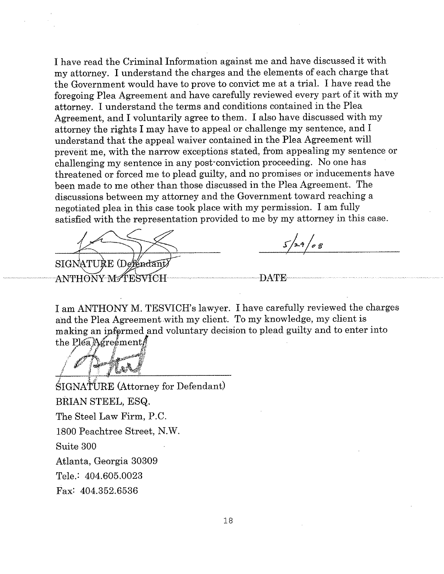I have read the Criminal Information against me and have discussed it with my attorney. I understand the charges and the elements of each charge that the Government would have to prove to convict me at a trial. I have read the foregoing Plea Agreement and have carefully reviewed every part of it with my attorney. I understand the terms and conditions contained in the Plea Agreement, and I voluntarily agree to them. I also have discussed with my attorney the rights I may have to appeal or challenge my sentence, and I understand that the appeal waiver contained in the Plea Agreement will preVent me, with the narrow exceptions stated, from appealing my sentence or challenging my sentence in any post-conviction proceeding. No one has threatened or forced me to plead guilty, and no promises or inducements have been made to me other than those discussed in the Plea Agreement. The discussions between my attorney and the Government toward reaching a negotiated plea in this case took place with my permission. I am fully satisfied with the representation provided to me by my attorney in this case.

SIGNATURE (Defendant ANTHONY MATESVICH

 $5/29/08$ 

**DATE** 

I am ANTHONY M. TESVICH's lawyer. I have carefully reviewed the charges and the Plea Agreement with my client. To my knowledge, my client is making an informed and voluntary decision to plead guilty and to enter into the Plea Agreement

SIGNATURE (Attorney for Defendant) BRIAN STEEL, ESQ. The Steel Law Firm, P.C. 1800 Peachtree Street, N.W. Suite 300 Atlanta, Georgia 30309 Tele.: 404.605.0023 Fax: 404.352.6536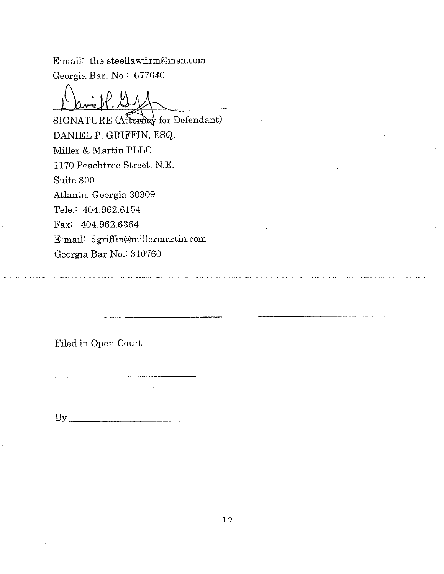E-mail: the steellawfirm@msn.com Georgia Bar. No.: 677640

**SIGNATURE** (Attorney for Defendant) DANIEL P. GRIFFIN, ESQ. Miller & Martin PLLC 1170 Peachtree Street, N.E. Suite 800 Atlanta, Georgia 30309 Tele.: 404.962.6154 Fax: 404.962.6364 E-mail: dgriffin@millermartin.com Georgia Bar No.: 310760

Filed in Open Court

 $\mathbf{B} \mathbf{y}$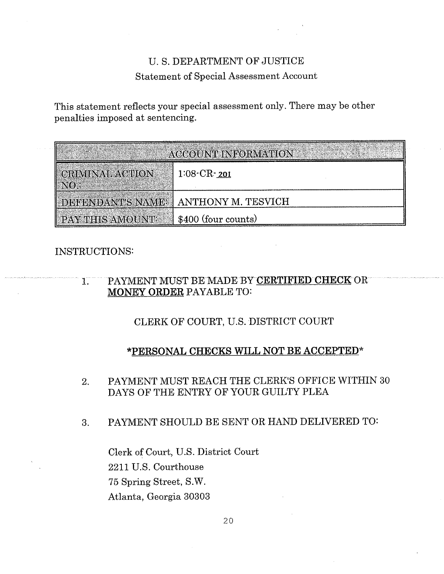# U. S. DEPARTMENT OF JUSTICE Statement of Special Assessment Account

This statement reflects your special assessment only. There may be other penalties imposed at sentencing.

| <b>ACCOUNT INFORMATION</b> |                     |
|----------------------------|---------------------|
| CRIMINAL ACTION            | $1:08$ $CR$ $ 201$  |
| <b>DEFENDANT'S NAME:</b>   | ANTHONY M. TESVICH  |
| PAY THIS AMOUNT:           | \$400 (four counts) |

# INSTRUCTIONS:

#### PAYMENT MUST BE MADE BY CERTIFIED CHECK OR  $1.$ **MONEY ORDER PAYABLE TO:**

 $\mathcal{L}_{\text{max}}$  and  $\mathcal{L}_{\text{max}}$ 

CLERK OF COURT, U.S. DISTRICT COURT

# **\*PERSONAL CHECKS WILL NOT BE ACCEPTED\***

- PAYMENT MUST REACH THE CLERK'S OFFICE WITHIN 30  $\overline{2}$ . DAYS OF THE ENTRY OF YOUR GUILTY PLEA
- PAYMENT SHOULD BE SENT OR HAND DELIVERED TO: 3.

Clerk of Court, U.S. District Court 2211 U.S. Courthouse 75 Spring Street, S.W. Atlanta, Georgia 30303